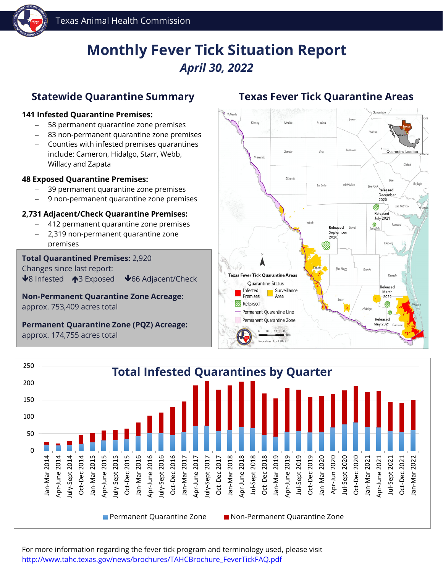

# **Monthly Fever Tick Situation Report** *April 30, 2022*

### **Statewide Quarantine Summary**

#### **<sup>141</sup> Infested Quarantine Premises:**

- − 58 permanent quarantine zone premises
- 83 non-permanent quarantine zone premises
- − Counties with infested premises quarantines include: Cameron, Hidalgo, Starr, Webb, Willacy and Zapata

#### **48 Exposed Quarantine Premises:**

- − 39 permanent quarantine zone premises
- 9 non-permanent quarantine zone premises

#### **2,731 Adjacent/Check Quarantine Premises:**

- − 412 permanent quarantine zone premises
- − 2,319 non-permanent quarantine zone premises

#### **Total Quarantined Premises:** 2,920 Changes since last report:

 $\bigvee$ 8 Infested  $\bigwedge$ 3 Exposed  $\bigvee$ 66 Adjacent/Check

**Non-Permanent Quarantine Zone Acreage:**

approx. 753,409 acres total

**Permanent Quarantine Zone (PQZ) Acreage:** approx. 174,755 acres total

### **Texas Fever Tick Quarantine Areas**





For more information regarding the fever tick program and terminology used, please visit [http://www.tahc.texas.gov/news/brochures/TAHCBrochure\\_FeverTickFAQ.pdf](http://www.tahc.texas.gov/news/brochures/TAHCBrochure_FeverTickFAQ.pdf)